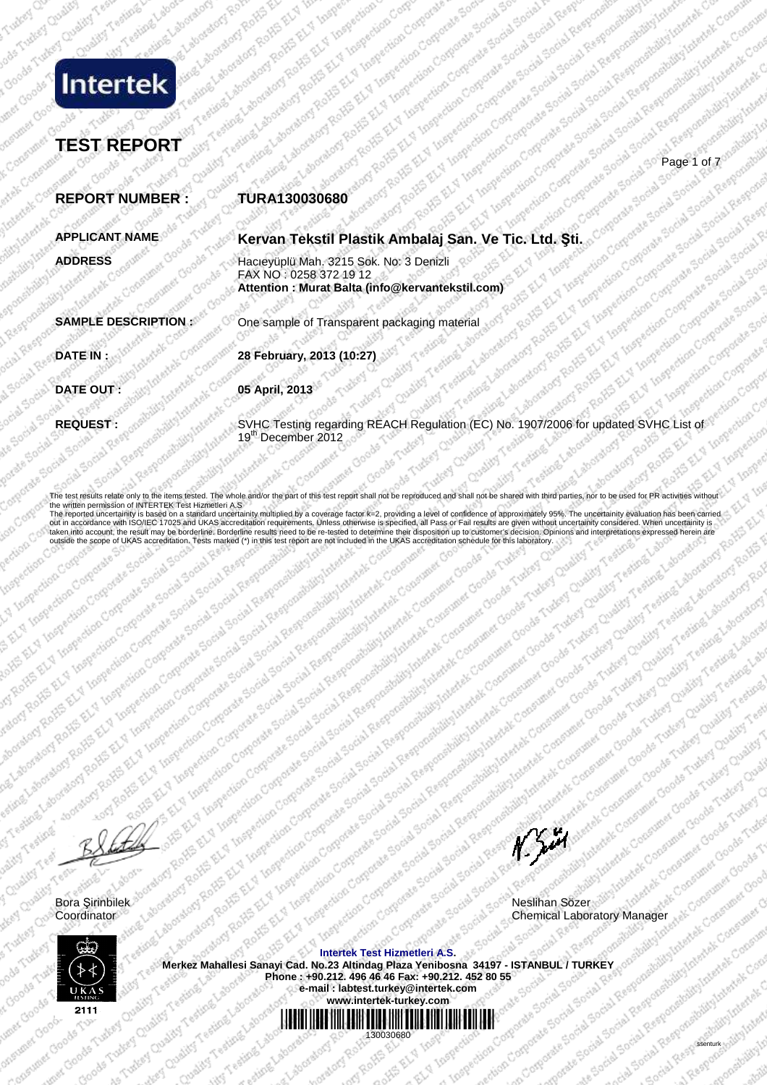

### **TEST REPORT**  Control and the age of 7 of 100 and 1 of 7 and 100 and 100 and 100 and 100 and 100 and 100 and 100 and 100 and

**REPORT NUMBER : TURA130030680 APPLICANT NAME Kervan Tekstil Plastik Ambalaj San. Ve Tic. Ltd. Şti. ADDRESS** Hacıeyüplü Mah. 3215 Sok. No: 3 Denizli FAX NO : 0258 372 19 12  **Attention : Murat Balta (info@kervantekstil.com) SAMPLE DESCRIPTION :** One sample of Transparent packaging material **DATE IN : 28 February, 2013 (10:27) DATE OUT:** 05 April, 2013 **REQUEST REQUEST :** SVHC Testing regarding REACH Regulation (EC) No. 1907/2006 for updated SVHC List of 19<sup>th</sup> December 2012

The test results relate only to the items tested. The whole and/or the part of this test report shall not be reproduced and shall not be shared with third parties, nor to be used for PR activities the written permission of INTERTEK Test Hizmetleri A.S<br>The reported uncertainity is based on a standard uncertainity multiplied by a coverage factor k=2, providing a level of confidence of approximately 95%. The uncertaini out in accordance with ISO/IEC 17025 and UKAS accreditation requirements. Unless otherwise is specified, all Pass or Fail results are given without uncertainity considered. When uncertainity is<br>taken into account, the resu outside the scope of UKAS accreditation. Tests marked (\*) in this test report are not included in the UKAS accreditation schedule for this laboratory.

Bora Şirinbilek Neslihan Sözer Chemical Laboratory Manage

 $N$ 



**Intertek Test Hizmetleri A.S. Merkez Mahallesi Sanayi Cad. No.23 Altindag Plaza Yenibosna 34197 - ISTANBUL / TURKEY Phone : +90.212. 496 46 46 Fax: +90.212. 452 80 55 e-mail : labtest.turkey@intertek.com www.intertek-turkey.com** \*130030680\*

130030680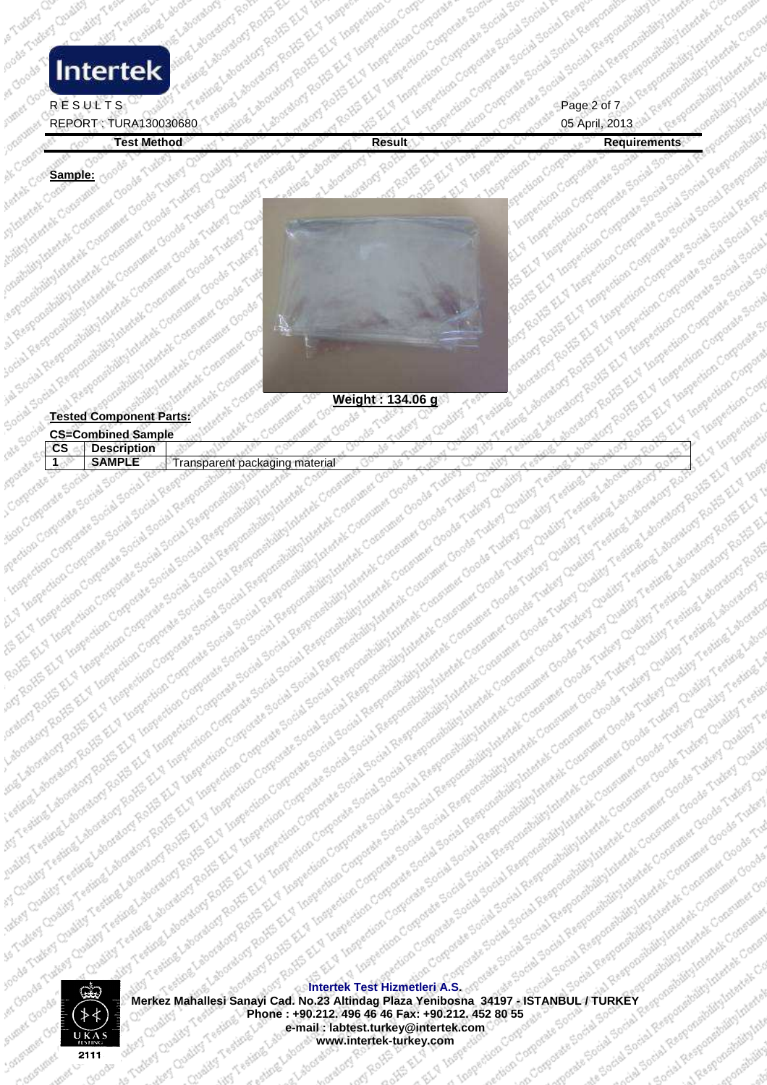### cooler Tweed Chestral R E S U L T S C and T a distribution of the property for the page in the page 10 of 75th Facebook of Table and **Intertek**

### REPORT : TURA130030680 05 April, 2013

,000

ione cens

Ak Convert

Anatok Conserved

construction of the state

cal Responsibility International Property of the Constitution of the Constitution of the Constitution of the Constitution of the Constitution of the Constitution of the Constitution of the Constitution of the Constitution

Social Responsibility interviews Consumer<br>Sepandida Interviews Consumer<br>Sepandida Interviews Consumer<br>Sepandida Interviews Consumer<br>Social Responsibility interviews<br>Social Responsibility interviews

```
A Responsibility international consumerships of the Consumerships of the Consumerships of the Consumerships of the Consumerships of the Consumerships of the Consumerships of the Consumerships of the Consumerships of the Co
```
organization Companies Social Sports<br>An Companies Companies Sports Sports

Ava Conferences & Research

Loughlitt

ATANGE

Action of

Turkey Chalify

Turkey Quality

Goods

Goods

Lakey Qualify Coal

Condition Change Change

**BANA** 

ROAD AVA **Post Realist River FRONT ASK**  ave Conferenciale Services

A Linepection Contaction Contact<br>Spection Contaction Contaction

det Ly Coperation Internation Co

ial Responsive

cial Res

Tourist Testing Laborators Ratio Ration

E Leburguebarator

Golding Council Ludwy Cuality

e Goods Tudes Tudes

Stirigung La

Testin

Jally vality

icooo, caas

Astrover Cross

Computines

iver co

insibia hidrographical

corial Response

Test Method and the state of the state of the state of the state of the state of the Results. The Results of the Results of the Results of the Results of the Results of the Results of the Results of the Results of the Resu Insperience Company Control Institute of the Section Contraction Contraction Contraction Standard List organization Company Company Society in Insperiencian Corporation ction Corp.<br>Spection Corp.<br>Lingue ction Corp. At the Corp Sample: Copperation of the Ashlund A



stign Carp Carparate

The main term of the distribution of the main term of the main term of the main term of the main term of the main term of the main term of the main term of the main term of the main term of the main term of the main term o

The most of the state of the state of the state of the state of the state of the state of the state of the state of the state of the state of the state of the state of the state of the state of the state of the state of th

Result of the control of the control of the control of the control of the control of the control of the control of the control of the control of the control of the control of the control of the control of the control of th Is a considerable that we can be a considerable that we consider a considerable to the considerable of the construction of the construction of the construction of the construction of the construction of the construction of market of the control of the market of the control of the strength of the market of the strength of the strength of the strength of the strength of the strength of the strength of the strength of the strength of the streng

Term termination of the distribution and the proportion of the construction of the construction of the construction of the construction of the construction of the construction of the construction of the construction of the

Review of the protection and the special temperature of construction of the construction of the construction of the special temperature of the construction of the protection of the protection of the special temperature of

primari de la ciedade de la constitución de la constitución de la constitución de la constitución de la constitución de la constitución de la constitución de la constitución de la constitución de la constitución de la cons

Ref. Residential procedure and a cost of the proportion of the special constrained that the construction of the special cost of the special cost of the special cost of the special cost of the special cost of the special co

| A SURFAME AND DESCRIPTION OF CREATIVE REC.<br>Tested Component Parts: divide Congression<br>in Restrictionshipping paradise Concerning doctors were assistant to a high-strategy to discount the party function Con-<br>international contents of consuming development of control of control of equality of equality of the first development of control of equality of the content of the control of the content of the content of the content of th<br>equivalist of the concernent concernent concerns in the set of Concerning Concerning on the set of the state of the state of the state of the state of the state of the state of the state of the state of the state of the st<br>Institute to commune choose Tutlery Coupling Contains and Realistical Realistics of Property and Contained Science |  |
|----------------------------------------------------------------------------------------------------------------------------------------------------------------------------------------------------------------------------------------------------------------------------------------------------------------------------------------------------------------------------------------------------------------------------------------------------------------------------------------------------------------------------------------------------------------------------------------------------------------------------------------------------------------------------------------------------------------------------------------------------------------------------------------------------------------|--|
|                                                                                                                                                                                                                                                                                                                                                                                                                                                                                                                                                                                                                                                                                                                                                                                                                |  |
|                                                                                                                                                                                                                                                                                                                                                                                                                                                                                                                                                                                                                                                                                                                                                                                                                |  |
|                                                                                                                                                                                                                                                                                                                                                                                                                                                                                                                                                                                                                                                                                                                                                                                                                |  |
|                                                                                                                                                                                                                                                                                                                                                                                                                                                                                                                                                                                                                                                                                                                                                                                                                |  |
|                                                                                                                                                                                                                                                                                                                                                                                                                                                                                                                                                                                                                                                                                                                                                                                                                |  |
| alburg Interest Consum<br>Walthanley Consumer                                                                                                                                                                                                                                                                                                                                                                                                                                                                                                                                                                                                                                                                                                                                                                  |  |
|                                                                                                                                                                                                                                                                                                                                                                                                                                                                                                                                                                                                                                                                                                                                                                                                                |  |
| ate Social<br><b>Description</b><br>$\mathsf{CS}$                                                                                                                                                                                                                                                                                                                                                                                                                                                                                                                                                                                                                                                                                                                                                              |  |
| School Responsibility interest Concerned Goods Tubes Oualister Team<br>Cockey Social Responsibility Internet Consumer Goods Student Old<br>Aporate Sc.<br><b>SAMPLE</b><br>· Controlate Elgin<br>JÖ.                                                                                                                                                                                                                                                                                                                                                                                                                                                                                                                                                                                                           |  |
|                                                                                                                                                                                                                                                                                                                                                                                                                                                                                                                                                                                                                                                                                                                                                                                                                |  |
|                                                                                                                                                                                                                                                                                                                                                                                                                                                                                                                                                                                                                                                                                                                                                                                                                |  |
|                                                                                                                                                                                                                                                                                                                                                                                                                                                                                                                                                                                                                                                                                                                                                                                                                |  |
|                                                                                                                                                                                                                                                                                                                                                                                                                                                                                                                                                                                                                                                                                                                                                                                                                |  |
|                                                                                                                                                                                                                                                                                                                                                                                                                                                                                                                                                                                                                                                                                                                                                                                                                |  |
| Fentally Corporate Strictle Social Reserve<br>Frans, Trans, Corporate Social Social Responses<br>insection Comparative Social Social Responsibility<br>idency of the Social Section Responsibility in the Contractor<br>Jing-                                                                                                                                                                                                                                                                                                                                                                                                                                                                                                                                                                                  |  |
|                                                                                                                                                                                                                                                                                                                                                                                                                                                                                                                                                                                                                                                                                                                                                                                                                |  |
|                                                                                                                                                                                                                                                                                                                                                                                                                                                                                                                                                                                                                                                                                                                                                                                                                |  |



Israelovatory Rock of New York Straelovatory Research

English

Internation Chapter

Constituting League Laboratory Role of New York and New York Street Assembly the Street of New York Street Assembly the Street Assembly the Street Assembly the Street Assembly the Street Assembly the Street Assembly the St

For Testing Laboratory Review Ave.

Fection above the two states for the states of the state of the state of the state of the state of the states of the states of the state of the states of the states of the states of the states of the states of the states o

Testing Laboratory Roll and Religionships

R. Laboret

Fabrication is a straight

o NS EL YES **AROHIS ALL EL** 

The procedure of the content of the content of the content of the content of the content of the content of the content of the content of the content of the content of the content of the content of the content of the conten Merkez Mahallesi Sanayi Cad. No.23 Altindag Plaza Yenibosna 34197 - ISTANBUL / TURKEY Given the company of the company of the company of the company of the company of the company of the company of the company of the compan esizione Laborato ary ku katao<br>amargrapy Rotes e to Scribb credit as. **Phone : +90.212. 496 46 46 Fax: +90.212. 452 80 55 e-mail : labtest.turkey@intertek.com**<br>
www.intertek-turkey.com<br>
www.intertek-turkey.com Som adaptation S Turkey Chairs **MARIS** CO **e-mail : labtest.turkey@intertek.com**  Sou Social Frank orporate red sting in **www.intertek-turkey.com** Coughits asting Labo Coality

eduon Corporate et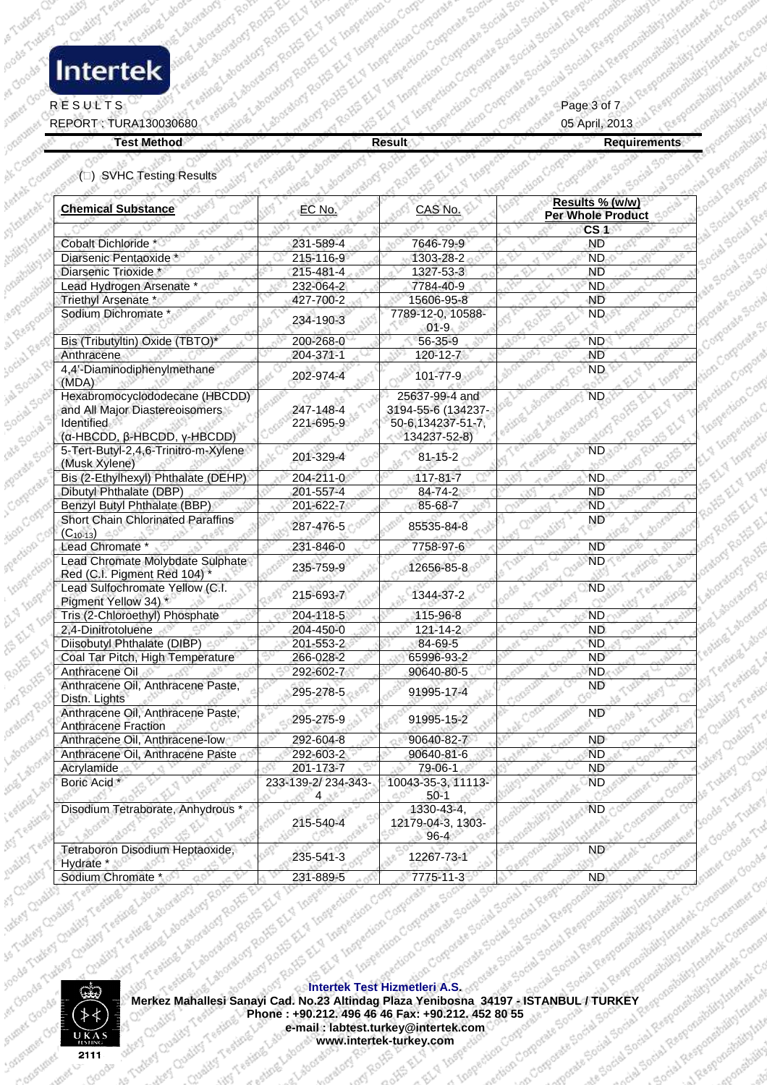### ocade Tudest Chairs **Intertek**

#### RESULTS  $\mathbb{R}^p$  ,  $\mathbb{R}^p$  ,  $\mathbb{R}^p$  ,  $\mathbb{R}^p$  ,  $\mathbb{R}^p$  ,  $\mathbb{R}^p$  ,  $\mathbb{R}^p$  ,  $\mathbb{R}^p$  ,  $\mathbb{R}^p$  ,  $\mathbb{R}^p$  ,  $\mathbb{R}^p$  ,  $\mathbb{R}^p$  ,  $\mathbb{R}^p$  ,  $\mathbb{R}^p$

es Goods

REPORT : TURA130030680 05 April, 2013

Assimilation of the Assimilation

Sturated Margaret Consuler **Analysis Consuler** 

Test Method Results (the property of the property of the property of the second control of the property of the property of the property of the property of the property of the property of the property of the property of the aboratory Test Star Line

FROM AS

official state **PACK W. Inspect** 

TELY LIV Legendian

| 231-589-4<br>215-116-9<br>215-481-4<br>232-064-2<br>427-700-2<br>234-190-3<br>200-268-0<br>204-371-1<br>202-974-4                            | 7646-79-9<br>1303-28-2<br>1327-53-3<br>7784-40-9<br>15606-95-8<br>7789-12-0, 10588-<br>$01-9$<br>56-35-9<br>120-12-7 | CS <sub>4</sub><br>-ND<br>ND.<br><b>ND</b><br><b>ND</b><br><b>ND</b><br>ND.                   |
|----------------------------------------------------------------------------------------------------------------------------------------------|----------------------------------------------------------------------------------------------------------------------|-----------------------------------------------------------------------------------------------|
|                                                                                                                                              |                                                                                                                      |                                                                                               |
|                                                                                                                                              |                                                                                                                      |                                                                                               |
|                                                                                                                                              |                                                                                                                      |                                                                                               |
|                                                                                                                                              |                                                                                                                      |                                                                                               |
|                                                                                                                                              |                                                                                                                      |                                                                                               |
|                                                                                                                                              |                                                                                                                      |                                                                                               |
|                                                                                                                                              |                                                                                                                      |                                                                                               |
|                                                                                                                                              |                                                                                                                      | <b>ND</b>                                                                                     |
|                                                                                                                                              |                                                                                                                      | $N\overline{D}$                                                                               |
|                                                                                                                                              | $101 - 77 - 9$                                                                                                       | <b>ND</b>                                                                                     |
|                                                                                                                                              | 25637-99-4 and                                                                                                       | ND.                                                                                           |
| 247-148-4                                                                                                                                    | 3194-55-6 (134237-                                                                                                   |                                                                                               |
| 221-695-9                                                                                                                                    | 50-6,134237-51-7,                                                                                                    |                                                                                               |
|                                                                                                                                              | 134237-52-8)                                                                                                         |                                                                                               |
| 201-329-4                                                                                                                                    | $81 - 15 - 2$                                                                                                        | ND.                                                                                           |
| 204-211-0                                                                                                                                    | $117 - 81 - 7$                                                                                                       | ND.                                                                                           |
| 201-557-4                                                                                                                                    | 84-74-2                                                                                                              | ND.                                                                                           |
|                                                                                                                                              |                                                                                                                      | <b>ND</b>                                                                                     |
| 287-476-5                                                                                                                                    | 85535-84-8                                                                                                           | <b>ND</b>                                                                                     |
| 231-846-0                                                                                                                                    | 7758-97-6                                                                                                            | <b>ND</b>                                                                                     |
| 235-759-9                                                                                                                                    | 12656-85-8                                                                                                           | <b>ND</b>                                                                                     |
| 215-693-7                                                                                                                                    | 1344-37-2                                                                                                            | <b>ND</b>                                                                                     |
| 204-118-5                                                                                                                                    | 115-96-8                                                                                                             | ND.                                                                                           |
| 204-450-0                                                                                                                                    | $121 - 14 - 2$                                                                                                       | ND.                                                                                           |
| 201-553-2                                                                                                                                    |                                                                                                                      | <b>ND</b>                                                                                     |
|                                                                                                                                              |                                                                                                                      | <b>ND</b>                                                                                     |
|                                                                                                                                              |                                                                                                                      | <b>ND</b>                                                                                     |
| 295-278-5                                                                                                                                    | 91995-17-4                                                                                                           | ND                                                                                            |
| 295-275-9                                                                                                                                    | 91995-15-2                                                                                                           | ND                                                                                            |
| 292-604-8                                                                                                                                    | 90640-82-7                                                                                                           | <b>ND</b>                                                                                     |
| 292-603-2                                                                                                                                    | 90640-81-6                                                                                                           | <b>ND</b>                                                                                     |
|                                                                                                                                              |                                                                                                                      | <b>ND</b>                                                                                     |
| 4                                                                                                                                            | $50-1$                                                                                                               | de Tuttey Overland<br><b>ND</b>                                                               |
| 215-540-4                                                                                                                                    | 12179-04-3, 1303-<br>$96 - 4$                                                                                        | soods Turkey Qu<br>$\sqrt{N}D$                                                                |
| 235-541-3                                                                                                                                    | 12267-73-1                                                                                                           | ial Regionalizations as a family                                                              |
| 231-889-5<br>AFek Testedledign Corporate Social Social Respublication<br>aboratory Rollin ELV Inspection<br>Apply Rollin ELV Inspection Cove |                                                                                                                      |                                                                                               |
|                                                                                                                                              | 201-622-7<br>266-028-2<br>292-602-7<br>201-173-7<br>233-139-2/234-343-                                               | 85-68-7<br>84-69-5<br>65996-93-2<br>90640-80-5<br>79-06-1<br>10043-35-3, 11113-<br>1330-43-4, |



**Merkez Mahallesi Sanayi Cad. No.23 Altindag Plaza Yenibosna 34197 - ISTANBUL / TURKEY ALTING A SANA YENIBOSNA 34197 - ISTANBUL / TURKEY ALTING A SANA YENIBOSNA 34197 - ISTANBUL / TURKEY ALTING A SANA YENIBOSNA 34197 - IST Intertek Test Hizmetleri A.S.**  Fiaza Yenibosha 34<br>**e-mail : labtest.turkey@intertek.com**<br>www.intertek-turkey.com **Phone : +90.212. 496 46 46 Fax: +90.212. 452 80 55 and Allied Computers** As Society Society Society of Organism ave Cuality **www.intertek-turkey.com PARK REA** or atom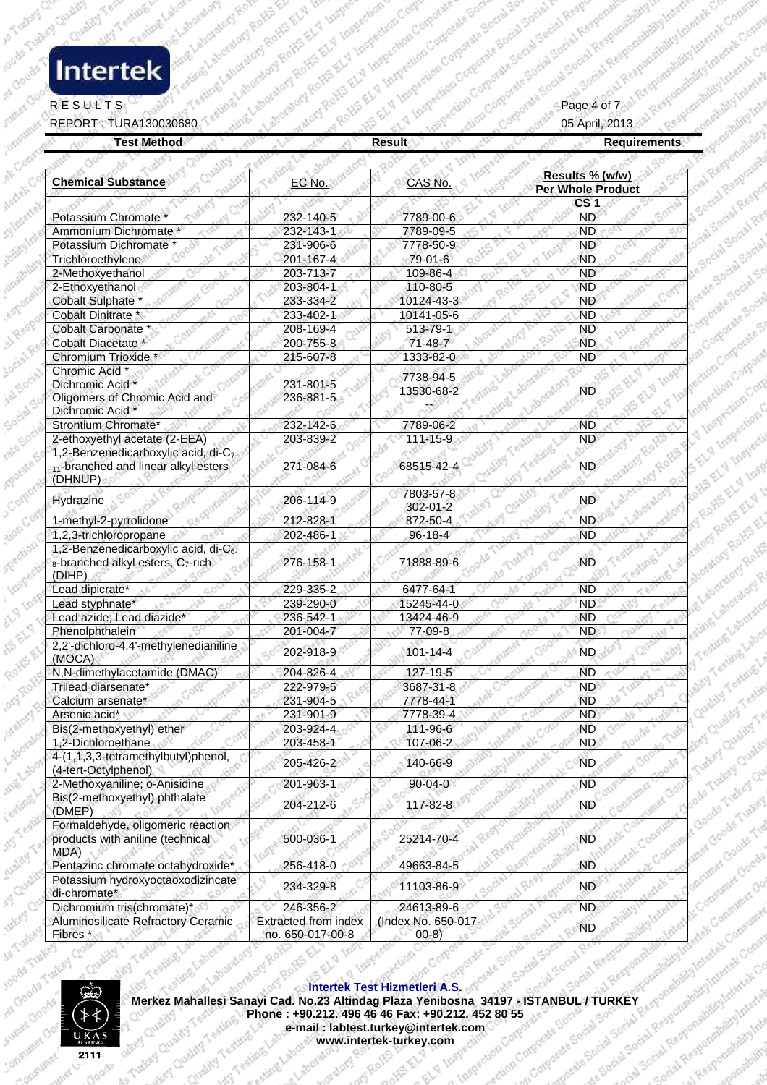# ocade Tudest Chairs

#### RESULTS  $\mathbb{R}^p$  ,  $\mathbb{R}^p$  ,  $\mathbb{R}^p$  ,  $\mathbb{R}^p$  ,  $\mathbb{R}^p$  ,  $\mathbb{R}^p$  ,  $\mathbb{R}^p$  ,  $\mathbb{R}^p$  ,  $\mathbb{R}^p$  ,  $\mathbb{R}^p$  ,  $\mathbb{R}^p$  ,  $\mathbb{R}^p$  ,  $\mathbb{R}^p$

es Goods

| <b>Test Method</b>                                                                                                        |                                          | <b>Result</b>                  | <b>Requirements</b>                                                                                                                                                                                                                                                                                                     |  |
|---------------------------------------------------------------------------------------------------------------------------|------------------------------------------|--------------------------------|-------------------------------------------------------------------------------------------------------------------------------------------------------------------------------------------------------------------------------------------------------------------------------------------------------------------------|--|
|                                                                                                                           |                                          |                                |                                                                                                                                                                                                                                                                                                                         |  |
| <b>Chemical Substance</b>                                                                                                 | EC No.                                   | CAS No.                        | Results % (w/w)<br><b>Per Whole Product</b>                                                                                                                                                                                                                                                                             |  |
| Potassium Chromate                                                                                                        | 232-140-5                                | 7789-00-6                      | CS <sub>1</sub><br>ND <sup>3</sup>                                                                                                                                                                                                                                                                                      |  |
| Ammonium Dichromate *                                                                                                     | 232-143-1                                | 7789-09-5                      | <b>ND</b>                                                                                                                                                                                                                                                                                                               |  |
| Potassium Dichromate *                                                                                                    | 231-906-6                                | 7778-50-9                      | <b>ND</b>                                                                                                                                                                                                                                                                                                               |  |
| Trichloroethylene                                                                                                         | 201-167-4                                | 79-01-6                        | <b>ND</b>                                                                                                                                                                                                                                                                                                               |  |
| 2-Methoxyethanol                                                                                                          | 203-713-7                                | 109-86-4                       | <b>ND</b>                                                                                                                                                                                                                                                                                                               |  |
| 2-Ethoxyethanol                                                                                                           | 203-804-1                                | 110-80-5                       | <b>ND</b>                                                                                                                                                                                                                                                                                                               |  |
| Cobalt Sulphate *<br>Cobalt Dinitrate *                                                                                   | 233-334-2<br>233-402-1                   | 10124-43-3<br>10141-05-6       | ND<br><b>ND</b>                                                                                                                                                                                                                                                                                                         |  |
| <b>Cobalt Carbonate</b>                                                                                                   | 208-169-4                                | $513 - 79 - 1$                 | <b>ND</b>                                                                                                                                                                                                                                                                                                               |  |
| Cobalt Diacetate *                                                                                                        | 200-755-8                                | $71 - 48 - 7$                  | <b>ND</b>                                                                                                                                                                                                                                                                                                               |  |
| Chromium Trioxide *                                                                                                       | 215-607-8                                | 1333-82-0                      | <b>ND</b>                                                                                                                                                                                                                                                                                                               |  |
| Chromic Acid *<br>Dichromic Acid *<br>Oligomers of Chromic Acid and<br>Dichromic Acid *                                   | 231-801-5<br>236-881-5                   | 7738-94-5<br>13530-68-2        | ND                                                                                                                                                                                                                                                                                                                      |  |
| Strontium Chromate*                                                                                                       | 232-142-6                                | 7789-06-2                      | <b>ND</b>                                                                                                                                                                                                                                                                                                               |  |
| 2-ethoxyethyl acetate (2-EEA)                                                                                             | 203-839-2                                | 111-15-9                       | <b>ND</b>                                                                                                                                                                                                                                                                                                               |  |
| 1,2-Benzenedicarboxylic acid, di-C <sub>7-</sub><br>11-branched and linear alkyl esters<br>(DHNUP)                        | 271-084-6                                | 68515-42-4                     | $N D^\circ$                                                                                                                                                                                                                                                                                                             |  |
| Hydrazine                                                                                                                 | 206-114-9                                | 7803-57-8<br>302-01-2          | <b>ND</b>                                                                                                                                                                                                                                                                                                               |  |
| 1-methyl-2-pyrrolidone                                                                                                    | 212-828-1                                | 872-50-4                       | <b>ND</b>                                                                                                                                                                                                                                                                                                               |  |
| 1,2,3-trichloropropane<br>1,2-Benzenedicarboxylic acid, di-C6.<br>8-branched alkyl esters, C <sub>7</sub> -rich<br>(DIHP) | 202-486-1<br>276-158-1                   | $96 - 18 - 4$<br>71888-89-6    | <b>ND</b><br><b>ND</b>                                                                                                                                                                                                                                                                                                  |  |
| Lead dipicrate*                                                                                                           | 229-335-2                                | 6477-64-1                      | <b>ND</b>                                                                                                                                                                                                                                                                                                               |  |
| Lead styphnate*                                                                                                           | 239-290-0                                | 15245-44-0                     | ND.                                                                                                                                                                                                                                                                                                                     |  |
| Lead azide; Lead diazide*                                                                                                 | 236-542-1                                | 13424-46-9                     | <b>ND</b>                                                                                                                                                                                                                                                                                                               |  |
| Phenolphthalein                                                                                                           | 201-004-7                                | 77-09-8                        | <b>ND</b>                                                                                                                                                                                                                                                                                                               |  |
| 2,2'-dichloro-4,4'-methylenedianiline<br>(MOCA)                                                                           | 202-918-9                                | $101 - 14 - 4$                 | ND.                                                                                                                                                                                                                                                                                                                     |  |
| N,N-dimethylacetamide (DMAC)                                                                                              | 204-826-4                                | 127-19-5                       | <b>ND</b>                                                                                                                                                                                                                                                                                                               |  |
| Trilead diarsenate*                                                                                                       | 222-979-5                                | 3687-31-8                      | Clashiry Testing L<br><b>ND</b><br>toy Quality Teeter                                                                                                                                                                                                                                                                   |  |
| Calcium arsenate*                                                                                                         | 231-904-5                                | 7778-44-1                      | <b>ND</b>                                                                                                                                                                                                                                                                                                               |  |
| Arsenic acid*                                                                                                             | 231-901-9                                | 7778-39-4                      | ND.                                                                                                                                                                                                                                                                                                                     |  |
| Bis(2-methoxyethyl) ether<br>1,2-Dichloroethane                                                                           | 203-924-4                                | 111-96-6                       | <b>ND</b><br><b>ND</b>                                                                                                                                                                                                                                                                                                  |  |
| 4-(1,1,3,3-tetramethylbutyl)phenol,                                                                                       | 203-458-1                                | 107-06-2                       | Turkey Quality T ,                                                                                                                                                                                                                                                                                                      |  |
| (4-tert-Octylphenol)                                                                                                      | 205-426-2                                | 140-66-9                       | ND.                                                                                                                                                                                                                                                                                                                     |  |
| 2-Methoxyaniline; o-Anisidine                                                                                             | 201-963-1                                | $90 - 04 - 0$                  | <b>ND</b>                                                                                                                                                                                                                                                                                                               |  |
| Bis(2-methoxyethyl) phthalate                                                                                             | 204-212-6                                | 117-82-8                       | Dodg Tukker Chair<br>ND                                                                                                                                                                                                                                                                                                 |  |
| (DMEP)<br>Formaldehyde, oligomeric reaction<br>products with aniline (technical<br>MDA)                                   | 500-036-1                                | 25214-70-4                     | At Goods Turkey Civ<br>Vegas Goods Turkeer<br>Consumer Grocks Trade<br><b>ND</b><br>ORSUM                                                                                                                                                                                                                               |  |
| Pentazinc chromate octahydroxide*                                                                                         | 256-418-0                                | 49663-84-5                     | <b>ND</b>                                                                                                                                                                                                                                                                                                               |  |
| Potassium hydroxyoctaoxodizincate<br>di-chromate*                                                                         | 234-329-8                                | 11103-86-9                     | ND <sup>O</sup><br>over Consumer Co.                                                                                                                                                                                                                                                                                    |  |
| Dichromium tris(chromate)*                                                                                                | 246-356-2                                | 24613-89-6                     |                                                                                                                                                                                                                                                                                                                         |  |
| Aluminosilicate Refractory Ceramic                                                                                        | Extracted from index<br>no. 650-017-00-8 | (Index No. 650-017-<br>$00-8)$ | Internet & Scotland Streets Processes in the Assessment of the Assessment of the Assessment of the Assessment of the Assessment of the Assessment of the Assessment of the Assessment of the Assessment of the Assessment of t<br>Merkez Mahallesi Sanayi Cad. No.23 Altindag Plaza Yenibosna 34197 - ISTANBUL / TURKEY |  |

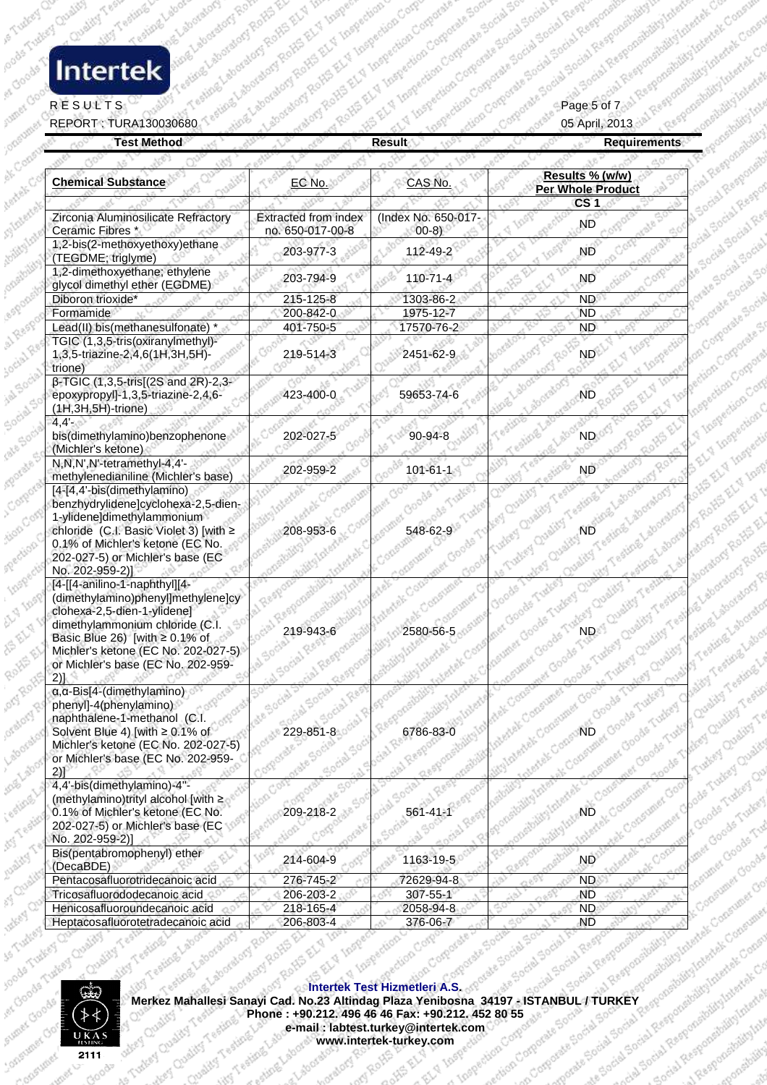# ocade Tudes Custom

### RESULTS  $\mathbb{R}^p$  ,  $\mathbb{R}^p$  ,  $\mathbb{R}^p$  ,  $\mathbb{R}^p$  ,  $\mathbb{R}^p$  ,  $\mathbb{R}^p$  ,  $\mathbb{R}^p$  ,  $\mathbb{R}^p$  ,  $\mathbb{R}^p$  ,  $\mathbb{R}^p$  ,  $\mathbb{R}^p$  ,  $\mathbb{R}^p$  ,  $\mathbb{R}^p$  ,  $\mathbb{R}^p$

es Goods

|                                                 | <b>Result</b>                      | <b>Requirements</b>                                                                                                                                                                                                                      |
|-------------------------------------------------|------------------------------------|------------------------------------------------------------------------------------------------------------------------------------------------------------------------------------------------------------------------------------------|
|                                                 |                                    |                                                                                                                                                                                                                                          |
| EC No.                                          | CAS No.                            | Results % (w/w)<br><b>Per Whole Product</b><br>CS <sub>1</sub>                                                                                                                                                                           |
| <b>Extracted from index</b><br>no. 650-017-00-8 | (Index No. 650-017-<br>$(00-8)$    | <b>ND</b>                                                                                                                                                                                                                                |
| 203-977-3                                       | 112-49-2                           | <b>ND</b>                                                                                                                                                                                                                                |
| 203-794-9                                       | 110-71-4                           | <b>ND</b>                                                                                                                                                                                                                                |
| 215-125-8                                       | 1303-86-2                          | ND.                                                                                                                                                                                                                                      |
| 200-842-0                                       | 1975-12-7                          | <b>ND</b>                                                                                                                                                                                                                                |
|                                                 |                                    | ND.                                                                                                                                                                                                                                      |
| 219-514-3                                       | 2451-62-9                          | ND.                                                                                                                                                                                                                                      |
| 423-400-0                                       | 59653-74-6                         | <b>ND</b>                                                                                                                                                                                                                                |
| 202-027-5                                       | $90 - 94 - 8$                      | <b>ND</b>                                                                                                                                                                                                                                |
| 202-959-2                                       | $101 - 61 - 1$                     | ND                                                                                                                                                                                                                                       |
| 208-953-                                        | 548-62-9                           | Challeng ND Hings<br>Tutter Quality                                                                                                                                                                                                      |
| 219-943-6                                       | 2580-56-5<br>Shouth                | NBey Chalify 1                                                                                                                                                                                                                           |
| (ate Social )<br>Social                         |                                    | Probability International Crooks Turking Overlive Teams Land<br>Materials Consumpt Goods Tudo<br>Welthinkelek Concument Goods<br>something Intertake Concentrate                                                                         |
| 209-218-2 - 1850                                |                                    | the briting<br>spoteitiilty Inter<br>monethile's Internation<br>ner Goods Turker<br>Gaumer Gooders                                                                                                                                       |
| 214-604-9                                       |                                    | <b>ND</b>                                                                                                                                                                                                                                |
|                                                 |                                    | Werkez Mahallesi Sanayi Cad. No. 23 Altindag Plaza As Cad. 24 376-06-7<br>Merkez Mahallesi Sanayi Cad. No. 23 Altindag Plaza Agnus 2003-4<br>Merkez Mahallesi Sanayi Cad. No. 23 Altindag Plaza Agnus 2003-4<br>Merkez Mahallesi Sanayi  |
|                                                 |                                    | Internation Social Spoiled Recommendation to such the                                                                                                                                                                                    |
|                                                 |                                    |                                                                                                                                                                                                                                          |
|                                                 | 401-750-5<br>1.50cial<br>ilal Regg | 17570-76-2<br>Gasponel<br>ditty Inter<br><b>Mettex</b> C<br>Responsibility to letest Consult<br>Spotland School Rash<br>Social Responsibility.internet<br>tocial Social<br>Books 56741 Response<br>-518-00<br>Social Regnus<br>1163-19-5 |

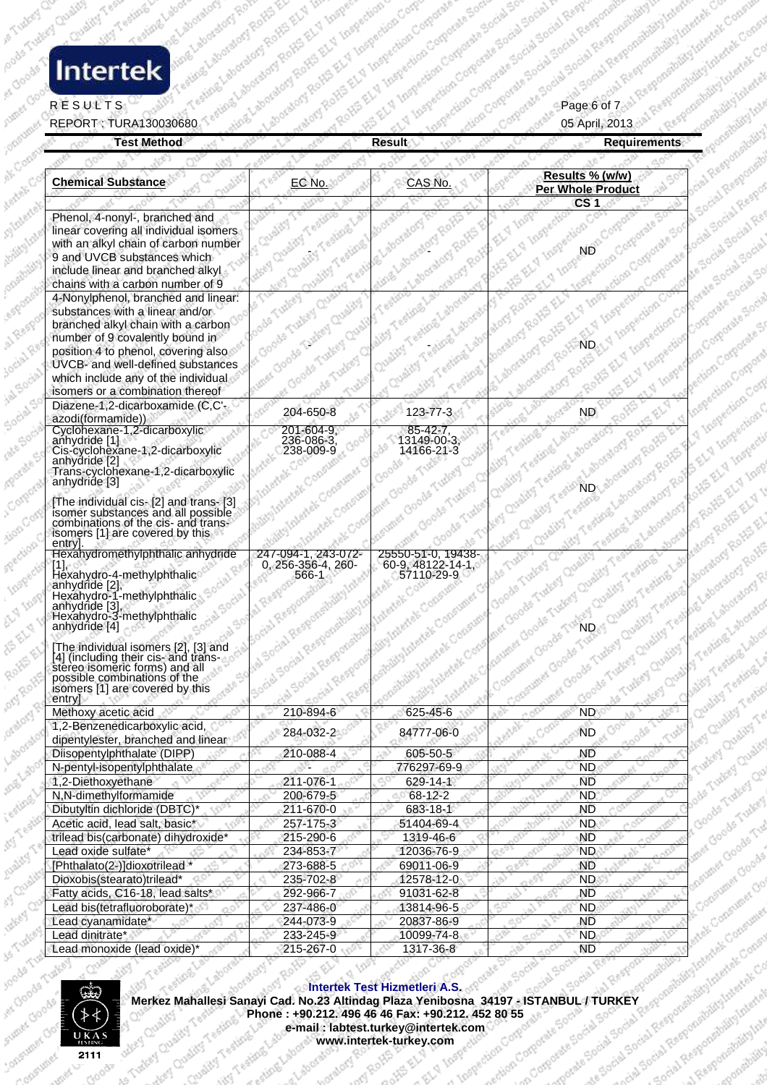# ocade Tudes Custom

#### RESULTS  $\mathbb{R}^p$  ,  $\mathbb{R}^p$  ,  $\mathbb{R}^p$  ,  $\mathbb{R}^p$  ,  $\mathbb{R}^p$  ,  $\mathbb{R}^p$  ,  $\mathbb{R}^p$  ,  $\mathbb{R}^p$  ,  $\mathbb{R}^p$  ,  $\mathbb{R}^p$  ,  $\mathbb{R}^p$  ,  $\mathbb{R}^p$  ,  $\mathbb{R}^p$

es Goods

oneoun

REPORT : TURA130030680 05 April, 2013

| <b>Chemical Substance</b>                                                                                                                                                                                                                                                                              | EC No.                                             | CAS No.                                               | Results % (w/w)<br><b>Per Whole Product</b>                                                    |
|--------------------------------------------------------------------------------------------------------------------------------------------------------------------------------------------------------------------------------------------------------------------------------------------------------|----------------------------------------------------|-------------------------------------------------------|------------------------------------------------------------------------------------------------|
| Phenol, 4-nonyl-, branched and<br>linear covering all individual isomers<br>with an alkyl chain of carbon number<br>9 and UVCB substances which<br>include linear and branched alkyl                                                                                                                   |                                                    |                                                       | CS <sub>1</sub><br>ND                                                                          |
| chains with a carbon number of 9                                                                                                                                                                                                                                                                       |                                                    |                                                       |                                                                                                |
| 4-Nonylphenol, branched and linear:<br>substances with a linear and/or<br>branched alkyl chain with a carbon<br>number of 9 covalently bound in<br>position 4 to phenol, covering also<br>UVCB- and well-defined substances<br>which include any of the individual<br>isomers or a combination thereof |                                                    |                                                       |                                                                                                |
| Diazene-1,2-dicarboxamide (C,C'-<br>azodi(formamide))                                                                                                                                                                                                                                                  | 204-650-8                                          | 123-77-3                                              | ND.                                                                                            |
| Cyclohexane-1,2-dicarboxylic<br>anhydride [1]<br>Cis-cyclohexane-1,2-dicarboxylic<br>anhydride <sup>[2]</sup><br>Trans-cyclohexane-1,2-dicarboxylic<br>anhydride [3]                                                                                                                                   | 201-604-9.<br>236-086-3.<br>238-009-9              | 85-42-7<br>13149-00-3.<br>14166-21-3                  | ND Laborators                                                                                  |
| [The individual cis- [2] and trans- [3]<br>isomer substances and all possible<br>combinations of the cis- and trans-<br>isomers [1] are covered by this<br>entry                                                                                                                                       |                                                    |                                                       |                                                                                                |
| Hexahydromethylphthalic anhydride<br>Hexahydro-4-methylphthalic<br>anhydride [2],<br>Hexahydro-1-methylphthalic<br>anhydride [3].<br>Hexahydro-3-methylphthalic<br>anhydride [4]                                                                                                                       | 247-094-1, 243-072-<br>0, 256-356-4, 260-<br>566-1 | 25550-51-0, 19438-<br>60-9, 48122-14-1.<br>57110-29-9 | When Quality Testing<br>ieumer Goode Tudeer                                                    |
| [The individual isomers [2], [3] and<br>[4] (including their cis- and trans-<br>stereo isomeric forms) and all<br>possible combinations of the<br>isomers [1] are covered by this<br>entry                                                                                                             |                                                    |                                                       | Y Choods Turkey Chalify 1<br>Goods Tudgey Cheliley Test<br>· Stumer Goods<br>the Tutter Custor |
| Methoxy acetic acid                                                                                                                                                                                                                                                                                    | 210-894-6                                          | 625-45-6                                              | ND.<br>A.Gr                                                                                    |
| 1,2-Benzenedicarboxylic acid,<br>dipentylester, branched and linear                                                                                                                                                                                                                                    | 284-032-2                                          | 84777-06-0                                            | of Quality<br>Turkey Quality Ta<br><b>ND</b><br>Dodg Tukkey Chair                              |
| Diisopentylphthalate (DIPP)                                                                                                                                                                                                                                                                            | 210-088-4                                          | 605-50-5                                              | <b>ND</b>                                                                                      |
| N-pentyl-isopentylphthalate<br>1,2-Diethoxyethane                                                                                                                                                                                                                                                      | 211-076-1                                          | 776297-69-9                                           | <b>ND</b><br>Goods Tudows Qu<br><b>ND</b>                                                      |
| N,N-dimethylformamide                                                                                                                                                                                                                                                                                  | 200-679-5                                          | 629-14-1<br>68-12-2                                   | <b>ND</b>                                                                                      |
| Dibutyltin dichloride (DBTC)                                                                                                                                                                                                                                                                           | 211-670-0                                          | 683-18-1                                              | <b>ND</b>                                                                                      |
| Acetic acid, lead salt, basic*                                                                                                                                                                                                                                                                         | 257-175-3                                          | 51404-69-4                                            | ND.                                                                                            |
| trilead bis(carbonate) dihydroxide*                                                                                                                                                                                                                                                                    | 215-290-6                                          | 1319-46-6                                             | <b>ND</b>                                                                                      |
| Lead oxide sulfate*                                                                                                                                                                                                                                                                                    | 234-853-7                                          | 12036-76-9                                            | ND.                                                                                            |
| [Phthalato(2-)]dioxotrilead *                                                                                                                                                                                                                                                                          | 273-688-5                                          | 69011-06-9                                            | <b>ND</b>                                                                                      |
| Dioxobis(stearato)trilead*                                                                                                                                                                                                                                                                             | 235-702-8                                          | 12578-12-0                                            | Relatives Groche Time<br><b>ND</b>                                                             |
| Fatty acids, C16-18, lead salts*                                                                                                                                                                                                                                                                       | 292-966-7                                          | 91031-62-8                                            | <b>ND</b>                                                                                      |
| Lead bis(tetrafluoroborate)*<br>οÓ                                                                                                                                                                                                                                                                     | 237-486-0                                          | 13814-96-5                                            | extek Consumer Cer<br>N <sub>D</sub><br>General Hitler Lever the Changer                       |
| Lead cyanamidate*                                                                                                                                                                                                                                                                                      | 244-073-9                                          | 20837-86-9                                            | <b>ND</b>                                                                                      |
| Lead dinitrate*                                                                                                                                                                                                                                                                                        | 233-245-9                                          | 10099-74-8                                            | ND <sub>1</sub>                                                                                |
| Lead monoxide (lead oxide) <sup>®</sup>                                                                                                                                                                                                                                                                | 215-267-0                                          | 1317-36-8                                             | <b>ND</b><br>Responsibility<br>Social Spoin                                                    |



Merkez Mahallesi Sanayi Cad. No.23 Altindag Plaza Yenibosna 34197 - ISTANBUL / TURKEY<br>Phone : +90.212. 496 46 46 Fax: +90.212. 452 80 55<br>e-mail : labtest.turkey@intertek.com<br>www.intertek-turkey.com ð, 85 **Intertek Test Hizmetleri A.S. Phone : +90.212. 496 46 Fax: +90.212. 452 80 55**<br> **Phone : +90.212. 496 46 Fax: +90.212. 452 80 55**<br> **Phone : +90.212. 496 46 Fax: +90.212. 452 80 55**<br> **WWW.interfek-turkey.com**<br>
WWW.interfek-turkey.com is Turkey Quality of **e-mail : labtest.turkey@intertek.com www.intertek-turkey.com**